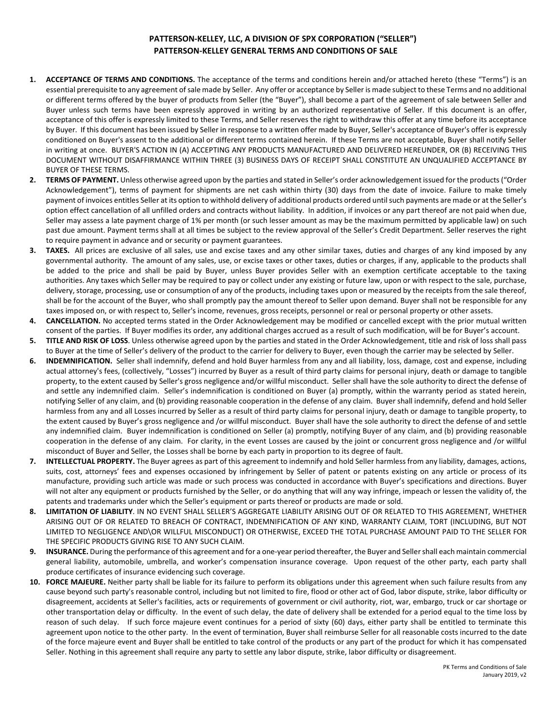## **PATTERSON-KELLEY, LLC, A DIVISION OF SPX CORPORATION ("SELLER") PATTERSON-KELLEY GENERAL TERMS AND CONDITIONS OF SALE**

- **1. ACCEPTANCE OF TERMS AND CONDITIONS.** The acceptance of the terms and conditions herein and/or attached hereto (these "Terms") is an essential prerequisite to any agreement of sale made by Seller. Any offer or acceptance by Seller is made subject to these Terms and no additional or different terms offered by the buyer of products from Seller (the "Buyer"), shall become a part of the agreement of sale between Seller and Buyer unless such terms have been expressly approved in writing by an authorized representative of Seller. If this document is an offer, acceptance of this offer is expressly limited to these Terms, and Seller reserves the right to withdraw this offer at any time before its acceptance by Buyer. If this document has been issued by Seller in response to a written offer made by Buyer, Seller's acceptance of Buyer's offer is expressly conditioned on Buyer's assent to the additional or different terms contained herein. If these Terms are not acceptable, Buyer shall notify Seller in writing at once. BUYER'S ACTION IN (A) ACCEPTING ANY PRODUCTS MANUFACTURED AND DELIVERED HEREUNDER, OR (B) RECEIVING THIS DOCUMENT WITHOUT DISAFFIRMANCE WITHIN THREE (3) BUSINESS DAYS OF RECEIPT SHALL CONSTITUTE AN UNQUALIFIED ACCEPTANCE BY BUYER OF THESE TERMS.
- **2. TERMS OF PAYMENT.** Unless otherwise agreed upon by the parties and stated in Seller's order acknowledgement issued for the products ("Order Acknowledgement"), terms of payment for shipments are net cash within thirty (30) days from the date of invoice. Failure to make timely payment of invoices entitles Seller at its option to withhold delivery of additional products ordered until such payments are made or at the Seller's option effect cancellation of all unfilled orders and contracts without liability. In addition, if invoices or any part thereof are not paid when due, Seller may assess a late payment charge of 1% per month (or such lesser amount as may be the maximum permitted by applicable law) on such past due amount. Payment terms shall at all times be subject to the review approval of the Seller's Credit Department. Seller reserves the right to require payment in advance and or security or payment guarantees.
- **3. TAXES.** All prices are exclusive of all sales, use and excise taxes and any other similar taxes, duties and charges of any kind imposed by any governmental authority. The amount of any sales, use, or excise taxes or other taxes, duties or charges, if any, applicable to the products shall be added to the price and shall be paid by Buyer, unless Buyer provides Seller with an exemption certificate acceptable to the taxing authorities. Any taxes which Seller may be required to pay or collect under any existing or future law, upon or with respect to the sale, purchase, delivery, storage, processing, use or consumption of any of the products, including taxes upon or measured by the receipts from the sale thereof, shall be for the account of the Buyer, who shall promptly pay the amount thereof to Seller upon demand. Buyer shall not be responsible for any taxes imposed on, or with respect to, Seller's income, revenues, gross receipts, personnel or real or personal property or other assets.
- **4. CANCELLATION.** No accepted terms stated in the Order Acknowledgement may be modified or cancelled except with the prior mutual written consent of the parties. If Buyer modifies its order, any additional charges accrued as a result of such modification, will be for Buyer's account.
- **5. TITLE AND RISK OF LOSS**. Unless otherwise agreed upon by the parties and stated in the Order Acknowledgement, title and risk of loss shall pass to Buyer at the time of Seller's delivery of the product to the carrier for delivery to Buyer, even though the carrier may be selected by Seller.
- **6. INDEMNIFICATION.** Seller shall indemnify, defend and hold Buyer harmless from any and all liability, loss, damage, cost and expense, including actual attorney's fees, (collectively, "Losses") incurred by Buyer as a result of third party claims for personal injury, death or damage to tangible property, to the extent caused by Seller's gross negligence and/or willful misconduct. Seller shall have the sole authority to direct the defense of and settle any indemnified claim. Seller's indemnification is conditioned on Buyer (a) promptly, within the warranty period as stated herein, notifying Seller of any claim, and (b) providing reasonable cooperation in the defense of any claim. Buyer shall indemnify, defend and hold Seller harmless from any and all Losses incurred by Seller as a result of third party claims for personal injury, death or damage to tangible property, to the extent caused by Buyer's gross negligence and /or willful misconduct. Buyer shall have the sole authority to direct the defense of and settle any indemnified claim. Buyer indemnification is conditioned on Seller (a) promptly, notifying Buyer of any claim, and (b) providing reasonable cooperation in the defense of any claim. For clarity, in the event Losses are caused by the joint or concurrent gross negligence and /or willful misconduct of Buyer and Seller, the Losses shall be borne by each party in proportion to its degree of fault.
- **7. INTELLECTUAL PROPERTY.** The Buyer agrees as part of this agreement to indemnify and hold Seller harmless from any liability, damages, actions, suits, cost, attorneys' fees and expenses occasioned by infringement by Seller of patent or patents existing on any article or process of its manufacture, providing such article was made or such process was conducted in accordance with Buyer's specifications and directions. Buyer will not alter any equipment or products furnished by the Seller, or do anything that will any way infringe, impeach or lessen the validity of, the patents and trademarks under which the Seller's equipment or parts thereof or products are made or sold.
- **8. LIMITATION OF LIABILITY**. IN NO EVENT SHALL SELLER'S AGGREGATE LIABILITY ARISING OUT OF OR RELATED TO THIS AGREEMENT, WHETHER ARISING OUT OF OR RELATED TO BREACH OF CONTRACT, INDEMNIFICATION OF ANY KIND, WARRANTY CLAIM, TORT (INCLUDING, BUT NOT LIMITED TO NEGLIGENCE AND\OR WILLFUL MISCONDUCT) OR OTHERWISE, EXCEED THE TOTAL PURCHASE AMOUNT PAID TO THE SELLER FOR THE SPECIFIC PRODUCTS GIVING RISE TO ANY SUCH CLAIM.
- **9. INSURANCE.** During the performance of this agreement and for a one-year period thereafter, the Buyer and Seller shall each maintain commercial general liability, automobile, umbrella, and worker's compensation insurance coverage. Upon request of the other party, each party shall produce certificates of insurance evidencing such coverage.
- **10. FORCE MAJEURE.** Neither party shall be liable for its failure to perform its obligations under this agreement when such failure results from any cause beyond such party's reasonable control, including but not limited to fire, flood or other act of God, labor dispute, strike, labor difficulty or disagreement, accidents at Seller's facilities, acts or requirements of government or civil authority, riot, war, embargo, truck or car shortage or other transportation delay or difficulty. In the event of such delay, the date of delivery shall be extended for a period equal to the time loss by reason of such delay. If such force majeure event continues for a period of sixty (60) days, either party shall be entitled to terminate this agreement upon notice to the other party. In the event of termination, Buyer shall reimburse Seller for all reasonable costs incurred to the date of the force majeure event and Buyer shall be entitled to take control of the products or any part of the product for which it has compensated Seller. Nothing in this agreement shall require any party to settle any labor dispute, strike, labor difficulty or disagreement.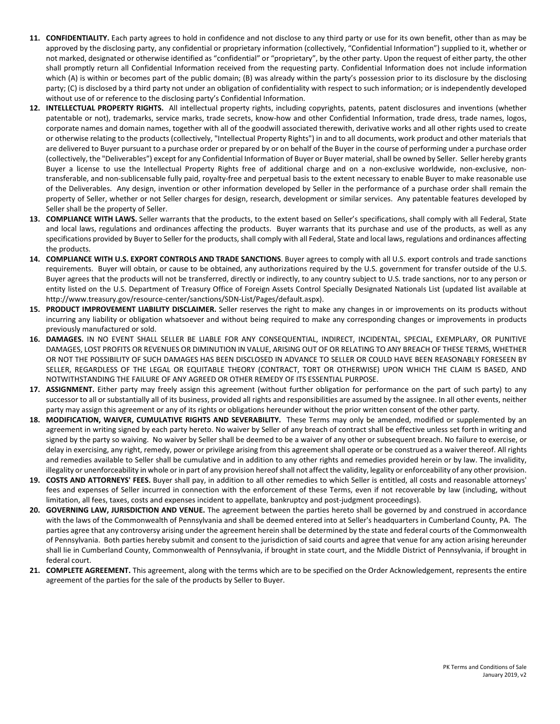- **11. CONFIDENTIALITY.** Each party agrees to hold in confidence and not disclose to any third party or use for its own benefit, other than as may be approved by the disclosing party, any confidential or proprietary information (collectively, "Confidential Information") supplied to it, whether or not marked, designated or otherwise identified as "confidential" or "proprietary", by the other party. Upon the request of either party, the other shall promptly return all Confidential Information received from the requesting party. Confidential Information does not include information which (A) is within or becomes part of the public domain; (B) was already within the party's possession prior to its disclosure by the disclosing party; (C) is disclosed by a third party not under an obligation of confidentiality with respect to such information; or is independently developed without use of or reference to the disclosing party's Confidential Information.
- **12. INTELLECTUAL PROPERTY RIGHTS.** All intellectual property rights, including copyrights, patents, patent disclosures and inventions (whether patentable or not), trademarks, service marks, trade secrets, know-how and other Confidential Information, trade dress, trade names, logos, corporate names and domain names, together with all of the goodwill associated therewith, derivative works and all other rights used to create or otherwise relating to the products (collectively, "Intellectual Property Rights") in and to all documents, work product and other materials that are delivered to Buyer pursuant to a purchase order or prepared by or on behalf of the Buyer in the course of performing under a purchase order (collectively, the "Deliverables") except for any Confidential Information of Buyer or Buyer material, shall be owned by Seller. Seller hereby grants Buyer a license to use the Intellectual Property Rights free of additional charge and on a non-exclusive worldwide, non-exclusive, nontransferable, and non-sublicensable fully paid, royalty-free and perpetual basis to the extent necessary to enable Buyer to make reasonable use of the Deliverables. Any design, invention or other information developed by Seller in the performance of a purchase order shall remain the property of Seller, whether or not Seller charges for design, research, development or similar services. Any patentable features developed by Seller shall be the property of Seller.
- **13. COMPLIANCE WITH LAWS.** Seller warrants that the products, to the extent based on Seller's specifications, shall comply with all Federal, State and local laws, regulations and ordinances affecting the products. Buyer warrants that its purchase and use of the products, as well as any specifications provided by Buyer to Seller for the products, shall comply with all Federal, State and local laws, regulations and ordinances affecting the products.
- **14. COMPLIANCE WITH U.S. EXPORT CONTROLS AND TRADE SANCTIONS**. Buyer agrees to comply with all U.S. export controls and trade sanctions requirements. Buyer will obtain, or cause to be obtained, any authorizations required by the U.S. government for transfer outside of the U.S. Buyer agrees that the products will not be transferred, directly or indirectly, to any country subject to U.S. trade sanctions, nor to any person or entity listed on the U.S. Department of Treasury Office of Foreign Assets Control Specially Designated Nationals List (updated list available at http://www.treasury.gov/resource-center/sanctions/SDN-List/Pages/default.aspx).
- **15. PRODUCT IMPROVEMENT LIABILITY DISCLAIMER.** Seller reserves the right to make any changes in or improvements on its products without incurring any liability or obligation whatsoever and without being required to make any corresponding changes or improvements in products previously manufactured or sold.
- **16. DAMAGES.** IN NO EVENT SHALL SELLER BE LIABLE FOR ANY CONSEQUENTIAL, INDIRECT, INCIDENTAL, SPECIAL, EXEMPLARY, OR PUNITIVE DAMAGES, LOST PROFITS OR REVENUES OR DIMINUTION IN VALUE, ARISING OUT OF OR RELATING TO ANY BREACH OF THESE TERMS, WHETHER OR NOT THE POSSIBILITY OF SUCH DAMAGES HAS BEEN DISCLOSED IN ADVANCE TO SELLER OR COULD HAVE BEEN REASONABLY FORESEEN BY SELLER, REGARDLESS OF THE LEGAL OR EQUITABLE THEORY (CONTRACT, TORT OR OTHERWISE) UPON WHICH THE CLAIM IS BASED, AND NOTWITHSTANDING THE FAILURE OF ANY AGREED OR OTHER REMEDY OF ITS ESSENTIAL PURPOSE.
- **17. ASSIGNMENT.** Either party may freely assign this agreement (without further obligation for performance on the part of such party) to any successor to all or substantially all of its business, provided all rights and responsibilities are assumed by the assignee. In all other events, neither party may assign this agreement or any of its rights or obligations hereunder without the prior written consent of the other party.
- **18. MODIFICATION, WAIVER, CUMULATIVE RIGHTS AND SEVERABILITY.** These Terms may only be amended, modified or supplemented by an agreement in writing signed by each party hereto. No waiver by Seller of any breach of contract shall be effective unless set forth in writing and signed by the party so waiving. No waiver by Seller shall be deemed to be a waiver of any other or subsequent breach. No failure to exercise, or delay in exercising, any right, remedy, power or privilege arising from this agreement shall operate or be construed as a waiver thereof. All rights and remedies available to Seller shall be cumulative and in addition to any other rights and remedies provided herein or by law. The invalidity, illegality or unenforceability in whole or in part of any provision hereof shall not affect the validity, legality or enforceability of any other provision.
- **19. COSTS AND ATTORNEYS' FEES.** Buyer shall pay, in addition to all other remedies to which Seller is entitled, all costs and reasonable attorneys' fees and expenses of Seller incurred in connection with the enforcement of these Terms, even if not recoverable by law (including, without limitation, all fees, taxes, costs and expenses incident to appellate, bankruptcy and post-judgment proceedings).
- **20. GOVERNING LAW, JURISDICTION AND VENUE.** The agreement between the parties hereto shall be governed by and construed in accordance with the laws of the Commonwealth of Pennsylvania and shall be deemed entered into at Seller's headquarters in Cumberland County, PA. The parties agree that any controversy arising under the agreement herein shall be determined by the state and federal courts of the Commonwealth of Pennsylvania. Both parties hereby submit and consent to the jurisdiction of said courts and agree that venue for any action arising hereunder shall lie in Cumberland County, Commonwealth of Pennsylvania, if brought in state court, and the Middle District of Pennsylvania, if brought in federal court.
- **21. COMPLETE AGREEMENT.** This agreement, along with the terms which are to be specified on the Order Acknowledgement, represents the entire agreement of the parties for the sale of the products by Seller to Buyer.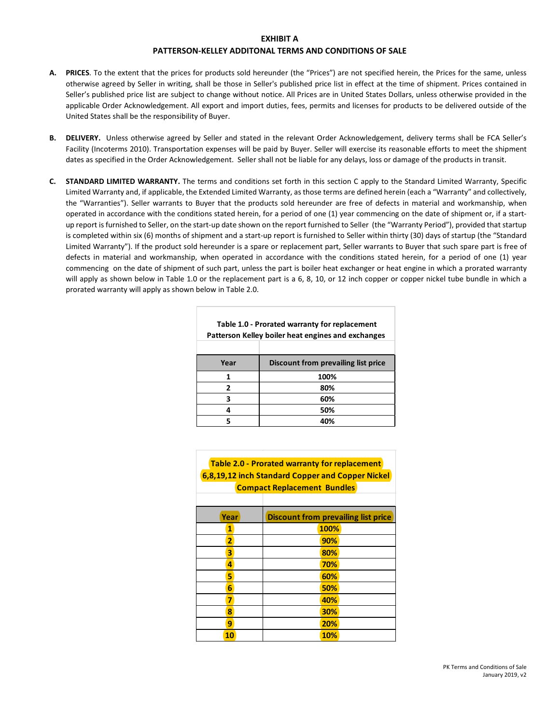## **EXHIBIT A**

## **PATTERSON-KELLEY ADDITONAL TERMS AND CONDITIONS OF SALE**

- **A. PRICES**. To the extent that the prices for products sold hereunder (the "Prices") are not specified herein, the Prices for the same, unless otherwise agreed by Seller in writing, shall be those in Seller's published price list in effect at the time of shipment. Prices contained in Seller's published price list are subject to change without notice. All Prices are in United States Dollars, unless otherwise provided in the applicable Order Acknowledgement. All export and import duties, fees, permits and licenses for products to be delivered outside of the United States shall be the responsibility of Buyer.
- **B. DELIVERY.** Unless otherwise agreed by Seller and stated in the relevant Order Acknowledgement, delivery terms shall be FCA Seller's Facility (Incoterms 2010). Transportation expenses will be paid by Buyer. Seller will exercise its reasonable efforts to meet the shipment dates as specified in the Order Acknowledgement. Seller shall not be liable for any delays, loss or damage of the products in transit.
- **C. STANDARD LIMITED WARRANTY.** The terms and conditions set forth in this section C apply to the Standard Limited Warranty, Specific Limited Warranty and, if applicable, the Extended Limited Warranty, as those terms are defined herein (each a "Warranty" and collectively, the "Warranties"). Seller warrants to Buyer that the products sold hereunder are free of defects in material and workmanship, when operated in accordance with the conditions stated herein, for a period of one (1) year commencing on the date of shipment or, if a startup report is furnished to Seller, on the start-up date shown on the report furnished to Seller (the "Warranty Period"), provided that startup is completed within six (6) months of shipment and a start-up report is furnished to Seller within thirty (30) days of startup (the "Standard Limited Warranty"). If the product sold hereunder is a spare or replacement part, Seller warrants to Buyer that such spare part is free of defects in material and workmanship, when operated in accordance with the conditions stated herein, for a period of one (1) year commencing on the date of shipment of such part, unless the part is boiler heat exchanger or heat engine in which a prorated warranty will apply as shown below in Table 1.0 or the replacement part is a 6, 8, 10, or 12 inch copper or copper nickel tube bundle in which a prorated warranty will apply as shown below in Table 2.0.

| Table 1.0 - Prorated warranty for replacement<br>Patterson Kelley boiler heat engines and exchanges |                                     |
|-----------------------------------------------------------------------------------------------------|-------------------------------------|
|                                                                                                     |                                     |
| Year                                                                                                | Discount from prevailing list price |
| 1                                                                                                   | 100%                                |
| 2                                                                                                   | 80%                                 |
| 3                                                                                                   | 60%                                 |
| 4                                                                                                   | 50%                                 |
| 5                                                                                                   | 40%                                 |

| <b>Table 2.0 - Prorated warranty for replacement</b><br>6,8,19,12 inch Standard Copper and Copper Nickel<br><b>Compact Replacement Bundles</b> |                                            |  |
|------------------------------------------------------------------------------------------------------------------------------------------------|--------------------------------------------|--|
| Year                                                                                                                                           | <b>Discount from prevailing list price</b> |  |
| 1                                                                                                                                              | 100%                                       |  |
| $\overline{2}$                                                                                                                                 | 90%                                        |  |
| 3                                                                                                                                              | 80%                                        |  |
| 4                                                                                                                                              | 70%                                        |  |
| 5                                                                                                                                              | 60%                                        |  |
| 6                                                                                                                                              | 50%                                        |  |
| 7                                                                                                                                              | 40%                                        |  |
| 8                                                                                                                                              | 30%                                        |  |
| 9                                                                                                                                              | 20%                                        |  |
| 10                                                                                                                                             | <b>10%</b>                                 |  |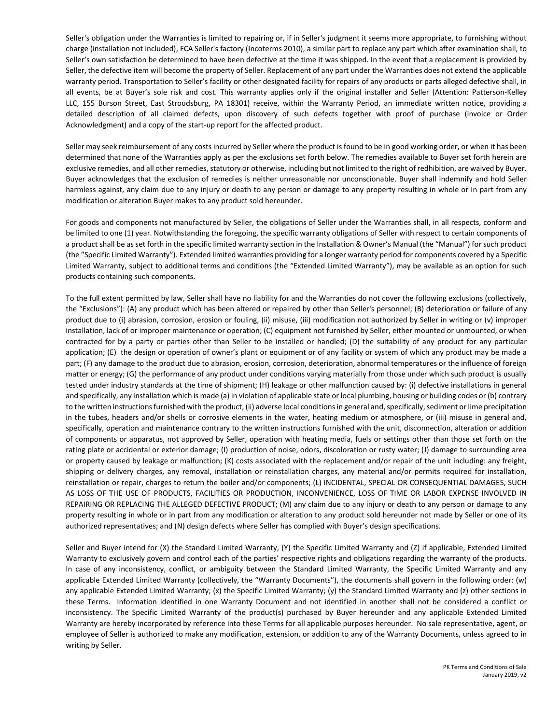Seller's obligation under the Warranties is limited to repairing or, if in Seller's judgment it seems more appropriate, to furnishing without charge (installation not included), FCA Seller's factory (Incoterms 2010), a similar part to replace any part which after examination shall, to Seller's own satisfaction be determined to have been defective at the time it was shipped. In the event that a replacement is provided by Seller, the defective item will become the property of Seller. Replacement of any part under the Warranties does not extend the applicable warranty period. Transportation to Seller's facility or other designated facility for repairs of any products or parts alleged defective shall, in all events, be at Buyer's sole risk and cost. This warranty applies only if the original installer and Seller (Attention: Patterson-Kelley LLC, 155 Burson Street, East Stroudsburg, PA 18301) receive, within the Warranty Period, an immediate written notice, providing a detailed description of all claimed defects, upon discovery of such defects together with proof of purchase (invoice or Order Acknowledgment) and a copy of the start-up report for the affected product.

Seller may seek reimbursement of any costs incurred by Seller where the product is found to be in good working order, or when it has been determined that none of the Warranties apply as per the exclusions set forth below. The remedies available to Buyer set forth herein are exclusive remedies, and all other remedies, statutory or otherwise, including but not limited to the right of redhibition, are waived by Buyer. Buyer acknowledges that the exclusion of remedies is neither unreasonable nor unconscionable. Buyer shall indemnify and hold Seller harmless against, any claim due to any injury or death to any person or damage to any property resulting in whole or in part from any modification or alteration Buyer makes to any product sold hereunder.

For goods and components not manufactured by Seller, the obligations of Seller under the Warranties shall, in all respects, conform and be limited to one (1) year. Notwithstanding the foregoing, the specific warranty obligations of Seller with respect to certain components of a product shall be as set forth in the specific limited warranty section in the Installation & Owner's Manual (the "Manual") for such product (the "Specific Limited Warranty"). Extended limited warranties providing for a longer warranty period for components covered by a Specific Limited Warranty, subject to additional terms and conditions (the "Extended Limited Warranty"), may be available as an option for such products containing such components.

To the full extent permitted by law, Seller shall have no liability for and the Warranties do not cover the following exclusions (collectively, the "Exclusions"): (A) any product which has been altered or repaired by other than Seller's personnel; (B) deterioration or failure of any product due to (i) abrasion, corrosion, erosion or fouling, (ii) misuse, (iii) modification not authorized by Seller in writing or (v) improper installation, lack of or improper maintenance or operation; (C) equipment not furnished by Seller, either mounted or unmounted, or when contracted for by a party or parties other than Seller to be installed or handled; (D) the suitability of any product for any particular application; (E) the design or operation of owner's plant or equipment or of any facility or system of which any product may be made a part; (F) any damage to the product due to abrasion, erosion, corrosion, deterioration, abnormal temperatures or the influence of foreign matter or energy; (G) the performance of any product under conditions varying materially from those under which such product is usually tested under industry standards at the time of shipment; (H) leakage or other malfunction caused by: (i) defective installations in general and specifically, any installation which is made (a) in violation of applicable state or local plumbing, housing or building codes or (b) contrary to the written instructions furnished with the product, (ii) adverse local conditions in general and, specifically, sediment or lime precipitation in the tubes, headers and/or shells or corrosive elements in the water, heating medium or atmosphere, or (iii) misuse in general and, specifically, operation and maintenance contrary to the written instructions furnished with the unit, disconnection, alteration or addition of components or apparatus, not approved by Seller, operation with heating media, fuels or settings other than those set forth on the rating plate or accidental or exterior damage; (I) production of noise, odors, discoloration or rusty water; (J) damage to surrounding area or property caused by leakage or malfunction; (K) costs associated with the replacement and/or repair of the unit including: any freight, shipping or delivery charges, any removal, installation or reinstallation charges, any material and/or permits required for installation, reinstallation or repair, charges to return the boiler and/or components; (L) INCIDENTAL, SPECIAL OR CONSEQUENTIAL DAMAGES, SUCH AS LOSS OF THE USE OF PRODUCTS, FACILITIES OR PRODUCTION, INCONVENIENCE, LOSS OF TIME OR LABOR EXPENSE INVOLVED IN REPAIRING OR REPLACING THE ALLEGED DEFECTIVE PRODUCT; (M) any claim due to any injury or death to any person or damage to any property resulting in whole or in part from any modification or alteration to any product sold hereunder not made by Seller or one of its authorized representatives; and (N) design defects where Seller has complied with Buyer's design specifications.

Seller and Buyer intend for (X) the Standard Limited Warranty, (Y) the Specific Limited Warranty and (Z) if applicable, Extended Limited Warranty to exclusively govern and control each of the parties' respective rights and obligations regarding the warranty of the products. In case of any inconsistency, conflict, or ambiguity between the Standard Limited Warranty, the Specific Limited Warranty and any applicable Extended Limited Warranty (collectively, the "Warranty Documents"), the documents shall govern in the following order: (w) any applicable Extended Limited Warranty; (x) the Specific Limited Warranty; (y) the Standard Limited Warranty and (z) other sections in these Terms. Information identified in one Warranty Document and not identified in another shall not be considered a conflict or inconsistency. The Specific Limited Warranty of the product(s) purchased by Buyer hereunder and any applicable Extended Limited Warranty are hereby incorporated by reference into these Terms for all applicable purposes hereunder. No sale representative, agent, or employee of Seller is authorized to make any modification, extension, or addition to any of the Warranty Documents, unless agreed to in writing by Seller.